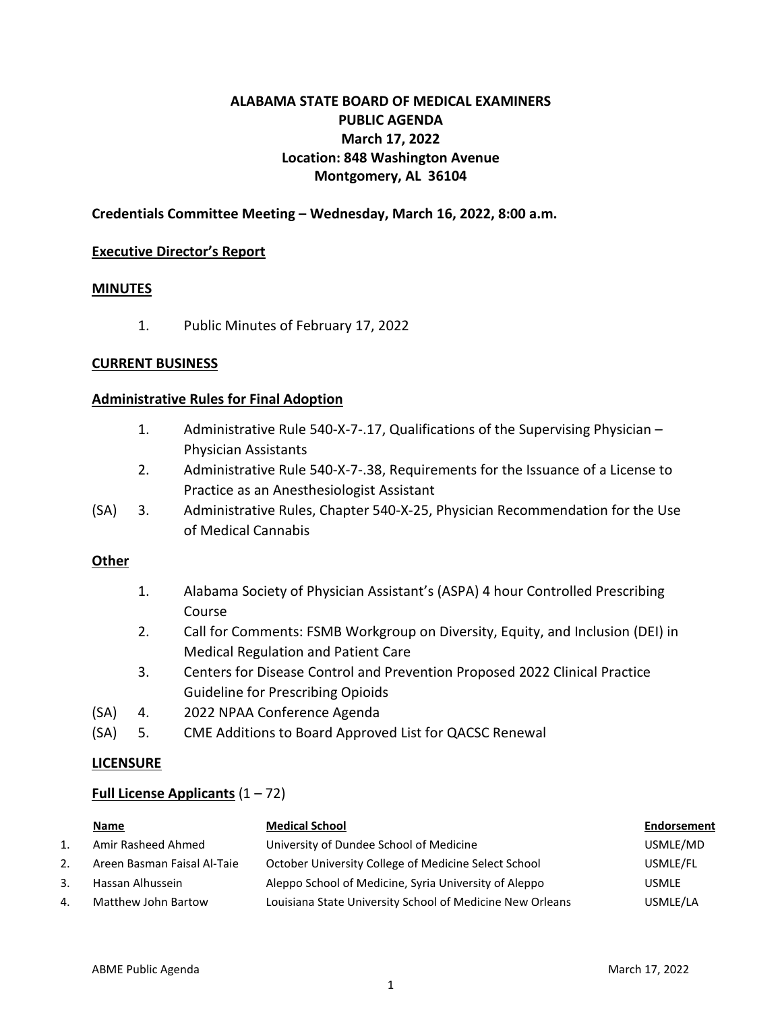## **ALABAMA STATE BOARD OF MEDICAL EXAMINERS PUBLIC AGENDA March 17, 2022 Location: 848 Washington Avenue Montgomery, AL 36104**

## **Credentials Committee Meeting – Wednesday, March 16, 2022, 8:00 a.m.**

#### **Executive Director's Report**

#### **MINUTES**

1. Public Minutes of February 17, 2022

#### **CURRENT BUSINESS**

#### **Administrative Rules for Final Adoption**

- 1. Administrative Rule 540-X-7-.17, Qualifications of the Supervising Physician Physician Assistants
- 2. Administrative Rule 540-X-7-.38, Requirements for the Issuance of a License to Practice as an Anesthesiologist Assistant
- (SA) 3. Administrative Rules, Chapter 540-X-25, Physician Recommendation for the Use of Medical Cannabis

#### **Other**

- 1. Alabama Society of Physician Assistant's (ASPA) 4 hour Controlled Prescribing Course
- 2. Call for Comments: FSMB Workgroup on Diversity, Equity, and Inclusion (DEI) in Medical Regulation and Patient Care
- 3. Centers for Disease Control and Prevention Proposed 2022 Clinical Practice Guideline for Prescribing Opioids
- (SA) 4. 2022 NPAA Conference Agenda
- (SA) 5. CME Additions to Board Approved List for QACSC Renewal

#### **LICENSURE**

#### **Full License Applicants** (1 – 72)

|    | <u>Name</u>                 | <b>Medical School</b>                                     | Endorsement  |
|----|-----------------------------|-----------------------------------------------------------|--------------|
|    | Amir Rasheed Ahmed          | University of Dundee School of Medicine                   | USMLE/MD     |
| 2. | Areen Basman Faisal Al-Taie | October University College of Medicine Select School      | USMLE/FL     |
| 3. | Hassan Alhussein            | Aleppo School of Medicine, Syria University of Aleppo     | <b>USMLE</b> |
| 4. | Matthew John Bartow         | Louisiana State University School of Medicine New Orleans | USMLE/LA     |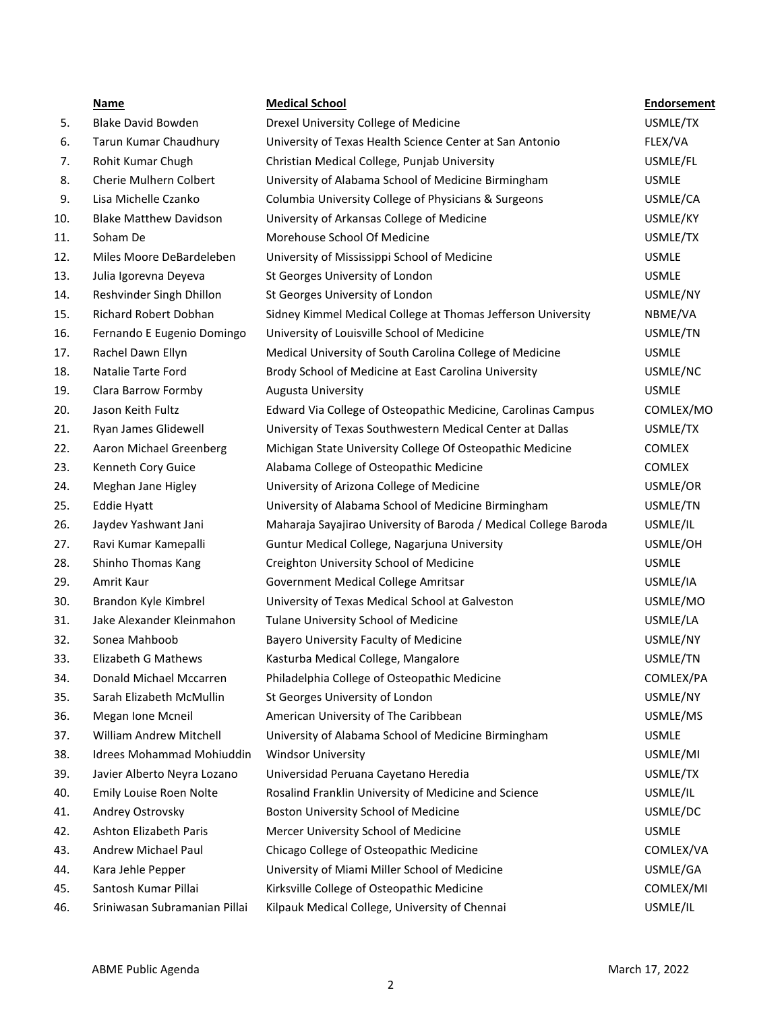|     | Name                             | <b>Medical School</b>                                            | <b>Endorsement</b> |
|-----|----------------------------------|------------------------------------------------------------------|--------------------|
| 5.  | <b>Blake David Bowden</b>        | Drexel University College of Medicine                            | USMLE/TX           |
| 6.  | Tarun Kumar Chaudhury            | University of Texas Health Science Center at San Antonio         | FLEX/VA            |
| 7.  | Rohit Kumar Chugh                | Christian Medical College, Punjab University                     | USMLE/FL           |
| 8.  | Cherie Mulhern Colbert           | University of Alabama School of Medicine Birmingham              | <b>USMLE</b>       |
| 9.  | Lisa Michelle Czanko             | Columbia University College of Physicians & Surgeons             | USMLE/CA           |
| 10. | <b>Blake Matthew Davidson</b>    | University of Arkansas College of Medicine                       | USMLE/KY           |
| 11. | Soham De                         | Morehouse School Of Medicine                                     | USMLE/TX           |
| 12. | Miles Moore DeBardeleben         | University of Mississippi School of Medicine                     | <b>USMLE</b>       |
| 13. | Julia Igorevna Deyeva            | St Georges University of London                                  | <b>USMLE</b>       |
| 14. | Reshvinder Singh Dhillon         | St Georges University of London                                  | USMLE/NY           |
| 15. | Richard Robert Dobhan            | Sidney Kimmel Medical College at Thomas Jefferson University     | NBME/VA            |
| 16. | Fernando E Eugenio Domingo       | University of Louisville School of Medicine                      | USMLE/TN           |
| 17. | Rachel Dawn Ellyn                | Medical University of South Carolina College of Medicine         | <b>USMLE</b>       |
| 18. | Natalie Tarte Ford               | Brody School of Medicine at East Carolina University             | USMLE/NC           |
| 19. | Clara Barrow Formby              | Augusta University                                               | <b>USMLE</b>       |
| 20. | Jason Keith Fultz                | Edward Via College of Osteopathic Medicine, Carolinas Campus     | COMLEX/MO          |
| 21. | Ryan James Glidewell             | University of Texas Southwestern Medical Center at Dallas        | USMLE/TX           |
| 22. | Aaron Michael Greenberg          | Michigan State University College Of Osteopathic Medicine        | <b>COMLEX</b>      |
| 23. | Kenneth Cory Guice               | Alabama College of Osteopathic Medicine                          | <b>COMLEX</b>      |
| 24. | Meghan Jane Higley               | University of Arizona College of Medicine                        | USMLE/OR           |
| 25. | Eddie Hyatt                      | University of Alabama School of Medicine Birmingham              | USMLE/TN           |
| 26. | Jaydev Yashwant Jani             | Maharaja Sayajirao University of Baroda / Medical College Baroda | USMLE/IL           |
| 27. | Ravi Kumar Kamepalli             | Guntur Medical College, Nagarjuna University                     | USMLE/OH           |
| 28. | Shinho Thomas Kang               | Creighton University School of Medicine                          | <b>USMLE</b>       |
| 29. | Amrit Kaur                       | Government Medical College Amritsar                              | USMLE/IA           |
| 30. | Brandon Kyle Kimbrel             | University of Texas Medical School at Galveston                  | USMLE/MO           |
| 31. | Jake Alexander Kleinmahon        | Tulane University School of Medicine                             | USMLE/LA           |
| 32. | Sonea Mahboob                    | Bayero University Faculty of Medicine                            | USMLE/NY           |
| 33. | Elizabeth G Mathews              | Kasturba Medical College, Mangalore                              | USMLE/TN           |
| 34. | Donald Michael Mccarren          | Philadelphia College of Osteopathic Medicine                     | COMLEX/PA          |
| 35. | Sarah Elizabeth McMullin         | St Georges University of London                                  | USMLE/NY           |
| 36. | Megan Ione Mcneil                | American University of The Caribbean                             | USMLE/MS           |
| 37. | William Andrew Mitchell          | University of Alabama School of Medicine Birmingham              | <b>USMLE</b>       |
| 38. | <b>Idrees Mohammad Mohiuddin</b> | <b>Windsor University</b>                                        | USMLE/MI           |
| 39. | Javier Alberto Neyra Lozano      | Universidad Peruana Cayetano Heredia                             | USMLE/TX           |
| 40. | Emily Louise Roen Nolte          | Rosalind Franklin University of Medicine and Science             | USMLE/IL           |
| 41. | Andrey Ostrovsky                 | Boston University School of Medicine                             | USMLE/DC           |
| 42. | <b>Ashton Elizabeth Paris</b>    | Mercer University School of Medicine                             | <b>USMLE</b>       |
| 43. | Andrew Michael Paul              | Chicago College of Osteopathic Medicine                          | COMLEX/VA          |
| 44. | Kara Jehle Pepper                | University of Miami Miller School of Medicine                    | USMLE/GA           |
| 45. | Santosh Kumar Pillai             | Kirksville College of Osteopathic Medicine                       | COMLEX/MI          |
| 46. | Sriniwasan Subramanian Pillai    | Kilpauk Medical College, University of Chennai                   | USMLE/IL           |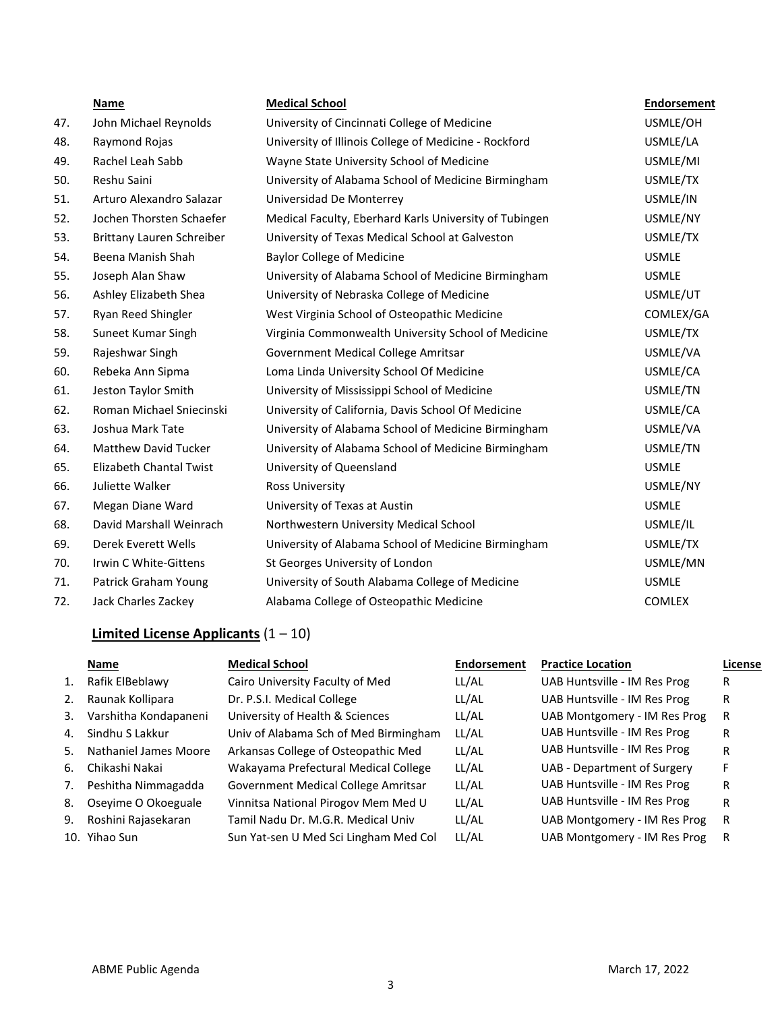|     | Name                        | <b>Medical School</b>                                  | <b>Endorsement</b> |
|-----|-----------------------------|--------------------------------------------------------|--------------------|
| 47. | John Michael Reynolds       | University of Cincinnati College of Medicine           | USMLE/OH           |
| 48. | Raymond Rojas               | University of Illinois College of Medicine - Rockford  | USMLE/LA           |
| 49. | Rachel Leah Sabb            | Wayne State University School of Medicine              | USMLE/MI           |
| 50. | Reshu Saini                 | University of Alabama School of Medicine Birmingham    | USMLE/TX           |
| 51. | Arturo Alexandro Salazar    | Universidad De Monterrey                               | USMLE/IN           |
| 52. | Jochen Thorsten Schaefer    | Medical Faculty, Eberhard Karls University of Tubingen | USMLE/NY           |
| 53. | Brittany Lauren Schreiber   | University of Texas Medical School at Galveston        | USMLE/TX           |
| 54. | Beena Manish Shah           | <b>Baylor College of Medicine</b>                      | <b>USMLE</b>       |
| 55. | Joseph Alan Shaw            | University of Alabama School of Medicine Birmingham    | <b>USMLE</b>       |
| 56. | Ashley Elizabeth Shea       | University of Nebraska College of Medicine             | USMLE/UT           |
| 57. | Ryan Reed Shingler          | West Virginia School of Osteopathic Medicine           | COMLEX/GA          |
| 58. | Suneet Kumar Singh          | Virginia Commonwealth University School of Medicine    | USMLE/TX           |
| 59. | Rajeshwar Singh             | Government Medical College Amritsar                    | USMLE/VA           |
| 60. | Rebeka Ann Sipma            | Loma Linda University School Of Medicine               | USMLE/CA           |
| 61. | Jeston Taylor Smith         | University of Mississippi School of Medicine           | USMLE/TN           |
| 62. | Roman Michael Sniecinski    | University of California, Davis School Of Medicine     | USMLE/CA           |
| 63. | Joshua Mark Tate            | University of Alabama School of Medicine Birmingham    | USMLE/VA           |
| 64. | <b>Matthew David Tucker</b> | University of Alabama School of Medicine Birmingham    | USMLE/TN           |
| 65. | Elizabeth Chantal Twist     | University of Queensland                               | <b>USMLE</b>       |
| 66. | Juliette Walker             | Ross University                                        | USMLE/NY           |
| 67. | Megan Diane Ward            | University of Texas at Austin                          | <b>USMLE</b>       |
| 68. | David Marshall Weinrach     | Northwestern University Medical School                 | USMLE/IL           |
| 69. | Derek Everett Wells         | University of Alabama School of Medicine Birmingham    | USMLE/TX           |
| 70. | Irwin C White-Gittens       | St Georges University of London                        | USMLE/MN           |
| 71. | Patrick Graham Young        | University of South Alabama College of Medicine        | <b>USMLE</b>       |
| 72. | Jack Charles Zackey         | Alabama College of Osteopathic Medicine                | <b>COMLEX</b>      |

# **Limited License Applicants** (1 – 10)

|    | Name                  | <b>Medical School</b>                 | <b>Endorsement</b> | <b>Practice Location</b>     | License |
|----|-----------------------|---------------------------------------|--------------------|------------------------------|---------|
| 1. | Rafik ElBeblawy       | Cairo University Faculty of Med       | LL/AL              | UAB Huntsville - IM Res Prog | R       |
| 2. | Raunak Kollipara      | Dr. P.S.I. Medical College            | LL/AL              | UAB Huntsville - IM Res Prog | R       |
| 3. | Varshitha Kondapaneni | University of Health & Sciences       | LL/AL              | UAB Montgomery - IM Res Prog | R       |
| 4. | Sindhu S Lakkur       | Univ of Alabama Sch of Med Birmingham | LL/AL              | UAB Huntsville - IM Res Prog | R       |
| 5. | Nathaniel James Moore | Arkansas College of Osteopathic Med   | LL/AL              | UAB Huntsville - IM Res Prog | R       |
| 6. | Chikashi Nakai        | Wakayama Prefectural Medical College  | LL/AL              | UAB - Department of Surgery  |         |
| 7. | Peshitha Nimmagadda   | Government Medical College Amritsar   | LL/AL              | UAB Huntsville - IM Res Prog | R       |
| 8. | Oseyime O Okoeguale   | Vinnitsa National Pirogov Mem Med U   | LL/AL              | UAB Huntsville - IM Res Prog | R       |
| 9. | Roshini Rajasekaran   | Tamil Nadu Dr. M.G.R. Medical Univ    | LL/AL              | UAB Montgomery - IM Res Prog | R       |
|    | 10. Yihao Sun         | Sun Yat-sen U Med Sci Lingham Med Col | LL/AL              | UAB Montgomery - IM Res Prog | R       |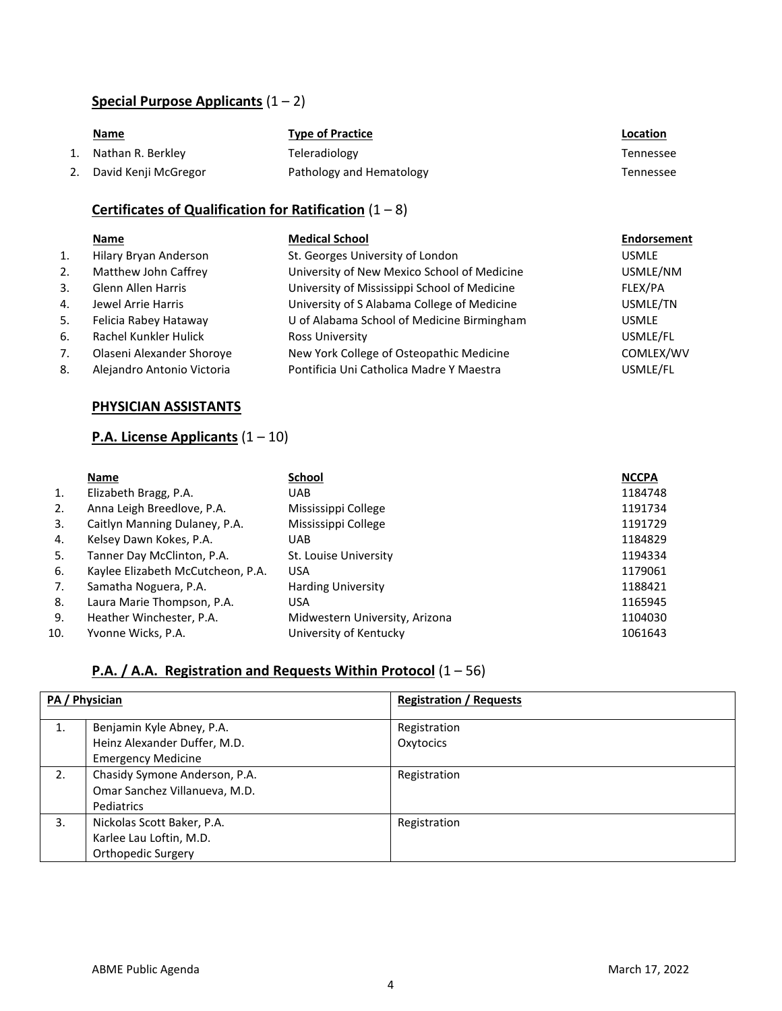## **Special Purpose Applicants** (1 – 2)

| <u>Name</u>             | <b>Type of Practice</b>  | Location  |
|-------------------------|--------------------------|-----------|
| 1. Nathan R. Berkley    | Teleradiology            | Tennessee |
| 2. David Kenji McGregor | Pathology and Hematology | Tennessee |

## **Certificates of Qualification for Ratification** (1 – 8)

## **Name Medical School Endorsement** 1. Hilary Bryan Anderson St. Georges University of London USMLE 2. Matthew John Caffrey **State University of New Mexico School of Medicine** USMLE/NM 3. Glenn Allen Harris **State Barris Election Control University of Mississippi School of Medicine** FLEX/PA 4. Jewel Arrie Harris University of S Alabama College of Medicine USMLE/TN 5. Felicia Rabey Hataway U of Alabama School of Medicine Birmingham USMLE 6. Rachel Kunkler Hulick Ross University USMLE/FL 7. Olaseni Alexander Shoroye New York College of Osteopathic Medicine COMLEX/WV 8. Alejandro Antonio Victoria Pontificia Uni Catholica Madre Y Maestra USMLE/FL

#### **PHYSICIAN ASSISTANTS**

#### **P.A. License Applicants** (1 – 10)

|     | Name                              | <b>School</b>                  | <b>NCCPA</b> |
|-----|-----------------------------------|--------------------------------|--------------|
| 1.  | Elizabeth Bragg, P.A.             | UAB.                           | 1184748      |
| 2.  | Anna Leigh Breedlove, P.A.        | Mississippi College            | 1191734      |
| 3.  | Caitlyn Manning Dulaney, P.A.     | Mississippi College            | 1191729      |
| 4.  | Kelsey Dawn Kokes, P.A.           | UAB                            | 1184829      |
| 5.  | Tanner Day McClinton, P.A.        | St. Louise University          | 1194334      |
| 6.  | Kaylee Elizabeth McCutcheon, P.A. | <b>USA</b>                     | 1179061      |
| 7.  | Samatha Noguera, P.A.             | <b>Harding University</b>      | 1188421      |
| 8.  | Laura Marie Thompson, P.A.        | USA                            | 1165945      |
| 9.  | Heather Winchester, P.A.          | Midwestern University, Arizona | 1104030      |
| 10. | Yvonne Wicks, P.A.                | University of Kentucky         | 1061643      |

## **P.A. / A.A. Registration and Requests Within Protocol** (1 – 56)

|    | PA / Physician                                                                         | <b>Registration / Requests</b> |
|----|----------------------------------------------------------------------------------------|--------------------------------|
| 1. | Benjamin Kyle Abney, P.A.<br>Heinz Alexander Duffer, M.D.<br><b>Emergency Medicine</b> | Registration<br>Oxytocics      |
| 2. | Chasidy Symone Anderson, P.A.<br>Omar Sanchez Villanueva, M.D.<br>Pediatrics           | Registration                   |
| 3. | Nickolas Scott Baker, P.A.<br>Karlee Lau Loftin, M.D.<br>Orthopedic Surgery            | Registration                   |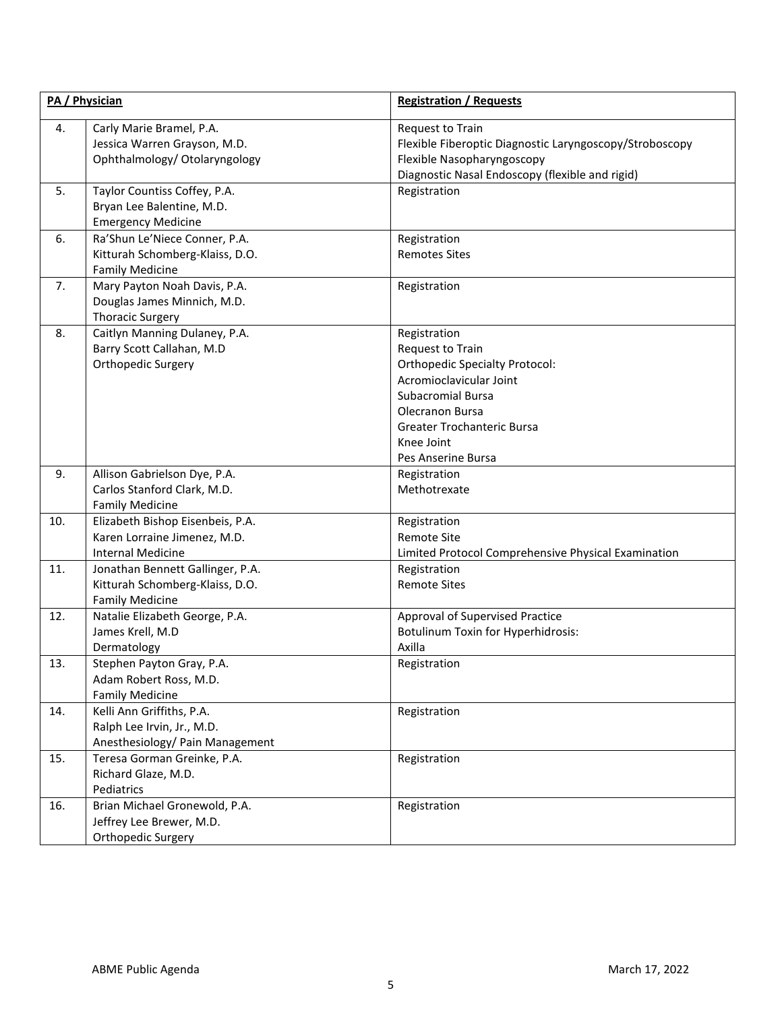|     | PA / Physician                                                                                | <b>Registration / Requests</b>                                                                                                                                                                                        |  |
|-----|-----------------------------------------------------------------------------------------------|-----------------------------------------------------------------------------------------------------------------------------------------------------------------------------------------------------------------------|--|
| 4.  | Carly Marie Bramel, P.A.<br>Jessica Warren Grayson, M.D.<br>Ophthalmology/ Otolaryngology     | Request to Train<br>Flexible Fiberoptic Diagnostic Laryngoscopy/Stroboscopy<br>Flexible Nasopharyngoscopy<br>Diagnostic Nasal Endoscopy (flexible and rigid)                                                          |  |
| 5.  | Taylor Countiss Coffey, P.A.<br>Bryan Lee Balentine, M.D.<br><b>Emergency Medicine</b>        | Registration                                                                                                                                                                                                          |  |
| 6.  | Ra'Shun Le'Niece Conner, P.A.<br>Kitturah Schomberg-Klaiss, D.O.<br><b>Family Medicine</b>    | Registration<br><b>Remotes Sites</b>                                                                                                                                                                                  |  |
| 7.  | Mary Payton Noah Davis, P.A.<br>Douglas James Minnich, M.D.<br><b>Thoracic Surgery</b>        | Registration                                                                                                                                                                                                          |  |
| 8.  | Caitlyn Manning Dulaney, P.A.<br>Barry Scott Callahan, M.D<br>Orthopedic Surgery              | Registration<br>Request to Train<br><b>Orthopedic Specialty Protocol:</b><br>Acromioclavicular Joint<br><b>Subacromial Bursa</b><br>Olecranon Bursa<br>Greater Trochanteric Bursa<br>Knee Joint<br>Pes Anserine Bursa |  |
| 9.  | Allison Gabrielson Dye, P.A.<br>Carlos Stanford Clark, M.D.<br><b>Family Medicine</b>         | Registration<br>Methotrexate                                                                                                                                                                                          |  |
| 10. | Elizabeth Bishop Eisenbeis, P.A.<br>Karen Lorraine Jimenez, M.D.<br><b>Internal Medicine</b>  | Registration<br><b>Remote Site</b><br>Limited Protocol Comprehensive Physical Examination                                                                                                                             |  |
| 11. | Jonathan Bennett Gallinger, P.A.<br>Kitturah Schomberg-Klaiss, D.O.<br><b>Family Medicine</b> | Registration<br><b>Remote Sites</b>                                                                                                                                                                                   |  |
| 12. | Natalie Elizabeth George, P.A.<br>James Krell, M.D<br>Dermatology                             | Approval of Supervised Practice<br>Botulinum Toxin for Hyperhidrosis:<br>Axilla                                                                                                                                       |  |
| 13. | Stephen Payton Gray, P.A.<br>Adam Robert Ross, M.D.<br><b>Family Medicine</b>                 | Registration                                                                                                                                                                                                          |  |
| 14. | Kelli Ann Griffiths, P.A.<br>Ralph Lee Irvin, Jr., M.D.<br>Anesthesiology/ Pain Management    | Registration                                                                                                                                                                                                          |  |
| 15. | Teresa Gorman Greinke, P.A.<br>Richard Glaze, M.D.<br>Pediatrics                              | Registration                                                                                                                                                                                                          |  |
| 16. | Brian Michael Gronewold, P.A.<br>Jeffrey Lee Brewer, M.D.<br>Orthopedic Surgery               | Registration                                                                                                                                                                                                          |  |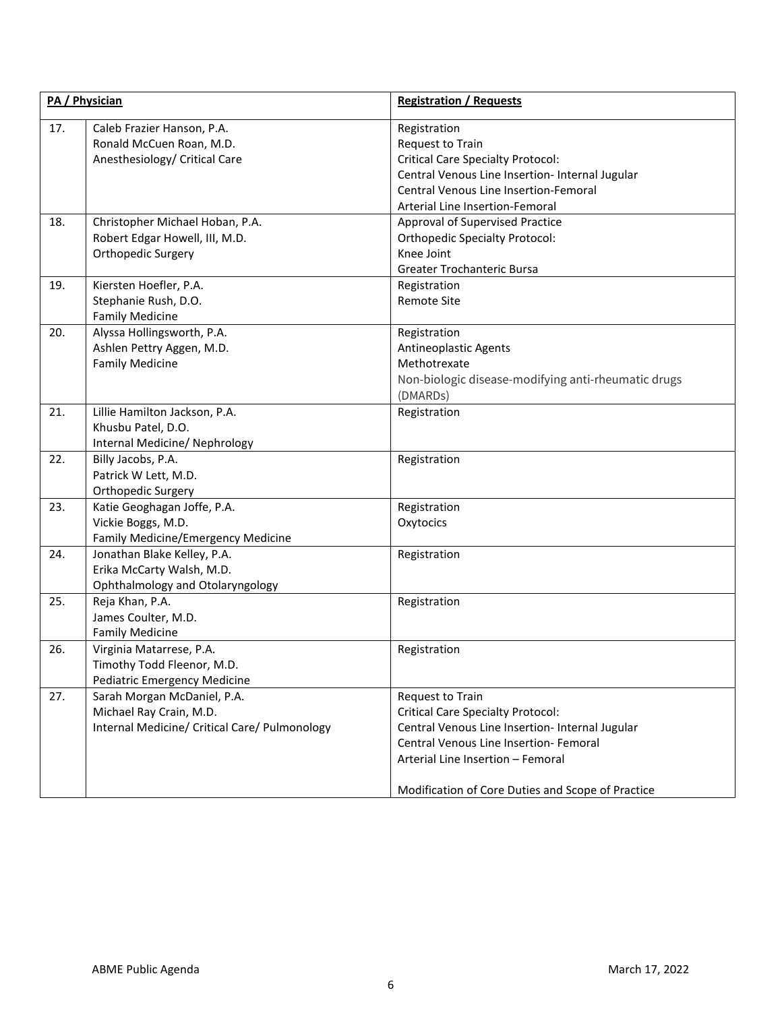|     | PA / Physician                                                                                          | <b>Registration / Requests</b>                                                                                                                                                                                                                      |
|-----|---------------------------------------------------------------------------------------------------------|-----------------------------------------------------------------------------------------------------------------------------------------------------------------------------------------------------------------------------------------------------|
| 17. | Caleb Frazier Hanson, P.A.<br>Ronald McCuen Roan, M.D.<br>Anesthesiology/ Critical Care                 | Registration<br>Request to Train<br><b>Critical Care Specialty Protocol:</b><br>Central Venous Line Insertion- Internal Jugular<br>Central Venous Line Insertion-Femoral<br>Arterial Line Insertion-Femoral                                         |
| 18. | Christopher Michael Hoban, P.A.<br>Robert Edgar Howell, III, M.D.<br>Orthopedic Surgery                 | Approval of Supervised Practice<br><b>Orthopedic Specialty Protocol:</b><br>Knee Joint<br>Greater Trochanteric Bursa                                                                                                                                |
| 19. | Kiersten Hoefler, P.A.<br>Stephanie Rush, D.O.<br><b>Family Medicine</b>                                | Registration<br><b>Remote Site</b>                                                                                                                                                                                                                  |
| 20. | Alyssa Hollingsworth, P.A.<br>Ashlen Pettry Aggen, M.D.<br><b>Family Medicine</b>                       | Registration<br>Antineoplastic Agents<br>Methotrexate<br>Non-biologic disease-modifying anti-rheumatic drugs<br>(DMARDs)                                                                                                                            |
| 21. | Lillie Hamilton Jackson, P.A.<br>Khusbu Patel, D.O.<br>Internal Medicine/ Nephrology                    | Registration                                                                                                                                                                                                                                        |
| 22. | Billy Jacobs, P.A.<br>Patrick W Lett, M.D.<br>Orthopedic Surgery                                        | Registration                                                                                                                                                                                                                                        |
| 23. | Katie Geoghagan Joffe, P.A.<br>Vickie Boggs, M.D.<br>Family Medicine/Emergency Medicine                 | Registration<br>Oxytocics                                                                                                                                                                                                                           |
| 24. | Jonathan Blake Kelley, P.A.<br>Erika McCarty Walsh, M.D.<br>Ophthalmology and Otolaryngology            | Registration                                                                                                                                                                                                                                        |
| 25. | Reja Khan, P.A.<br>James Coulter, M.D.<br><b>Family Medicine</b>                                        | Registration                                                                                                                                                                                                                                        |
| 26. | Virginia Matarrese, P.A.<br>Timothy Todd Fleenor, M.D.<br><b>Pediatric Emergency Medicine</b>           | Registration                                                                                                                                                                                                                                        |
| 27. | Sarah Morgan McDaniel, P.A.<br>Michael Ray Crain, M.D.<br>Internal Medicine/ Critical Care/ Pulmonology | Request to Train<br><b>Critical Care Specialty Protocol:</b><br>Central Venous Line Insertion- Internal Jugular<br>Central Venous Line Insertion- Femoral<br>Arterial Line Insertion - Femoral<br>Modification of Core Duties and Scope of Practice |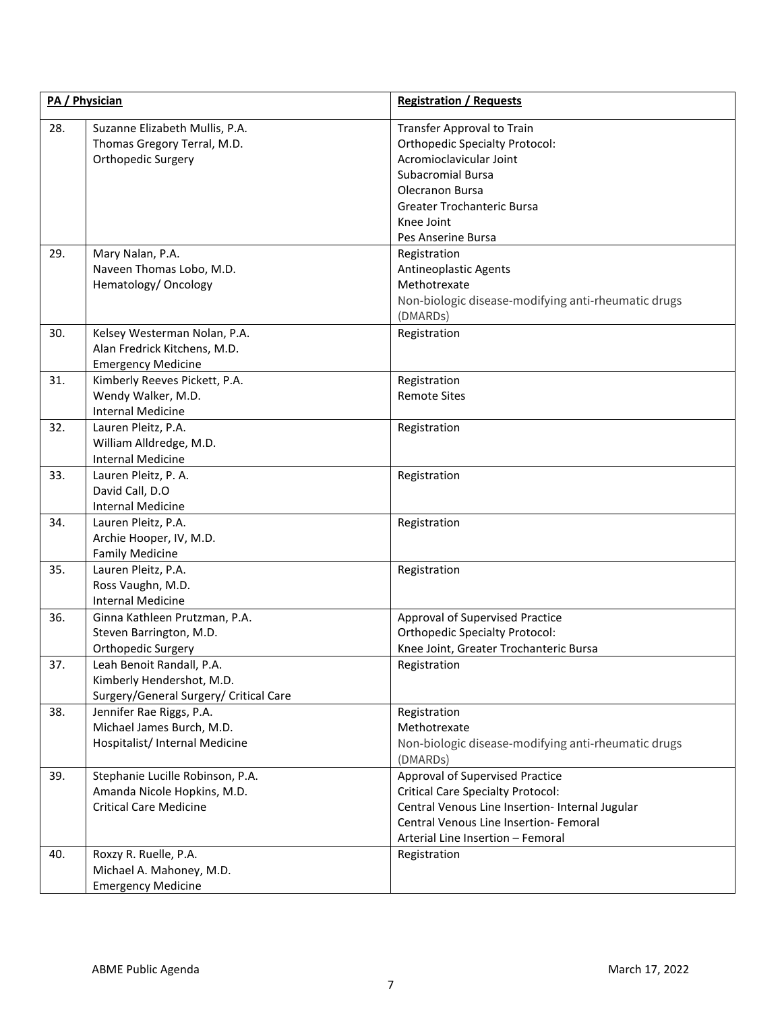|     | PA / Physician                                                                                   | <b>Registration / Requests</b>                                                                                                                                                                                |
|-----|--------------------------------------------------------------------------------------------------|---------------------------------------------------------------------------------------------------------------------------------------------------------------------------------------------------------------|
| 28. | Suzanne Elizabeth Mullis, P.A.<br>Thomas Gregory Terral, M.D.<br>Orthopedic Surgery              | <b>Transfer Approval to Train</b><br><b>Orthopedic Specialty Protocol:</b><br>Acromioclavicular Joint<br><b>Subacromial Bursa</b><br>Olecranon Bursa<br>Greater Trochanteric Bursa<br>Knee Joint              |
| 29. | Mary Nalan, P.A.<br>Naveen Thomas Lobo, M.D.<br>Hematology/ Oncology                             | Pes Anserine Bursa<br>Registration<br>Antineoplastic Agents<br>Methotrexate<br>Non-biologic disease-modifying anti-rheumatic drugs<br>(DMARD <sub>S</sub> )                                                   |
| 30. | Kelsey Westerman Nolan, P.A.<br>Alan Fredrick Kitchens, M.D.<br><b>Emergency Medicine</b>        | Registration                                                                                                                                                                                                  |
| 31. | Kimberly Reeves Pickett, P.A.<br>Wendy Walker, M.D.<br><b>Internal Medicine</b>                  | Registration<br><b>Remote Sites</b>                                                                                                                                                                           |
| 32. | Lauren Pleitz, P.A.<br>William Alldredge, M.D.<br><b>Internal Medicine</b>                       | Registration                                                                                                                                                                                                  |
| 33. | Lauren Pleitz, P. A.<br>David Call, D.O<br>Internal Medicine                                     | Registration                                                                                                                                                                                                  |
| 34. | Lauren Pleitz, P.A.<br>Archie Hooper, IV, M.D.<br><b>Family Medicine</b>                         | Registration                                                                                                                                                                                                  |
| 35. | Lauren Pleitz, P.A.<br>Ross Vaughn, M.D.<br><b>Internal Medicine</b>                             | Registration                                                                                                                                                                                                  |
| 36. | Ginna Kathleen Prutzman, P.A.<br>Steven Barrington, M.D.<br>Orthopedic Surgery                   | Approval of Supervised Practice<br><b>Orthopedic Specialty Protocol:</b><br>Knee Joint, Greater Trochanteric Bursa                                                                                            |
| 37. | Leah Benoit Randall, P.A.<br>Kimberly Hendershot, M.D.<br>Surgery/General Surgery/ Critical Care | Registration                                                                                                                                                                                                  |
| 38. | Jennifer Rae Riggs, P.A.<br>Michael James Burch, M.D.<br>Hospitalist/ Internal Medicine          | Registration<br>Methotrexate<br>Non-biologic disease-modifying anti-rheumatic drugs<br>(DMARDs)                                                                                                               |
| 39. | Stephanie Lucille Robinson, P.A.<br>Amanda Nicole Hopkins, M.D.<br><b>Critical Care Medicine</b> | Approval of Supervised Practice<br><b>Critical Care Specialty Protocol:</b><br>Central Venous Line Insertion- Internal Jugular<br>Central Venous Line Insertion- Femoral<br>Arterial Line Insertion - Femoral |
| 40. | Roxzy R. Ruelle, P.A.<br>Michael A. Mahoney, M.D.<br><b>Emergency Medicine</b>                   | Registration                                                                                                                                                                                                  |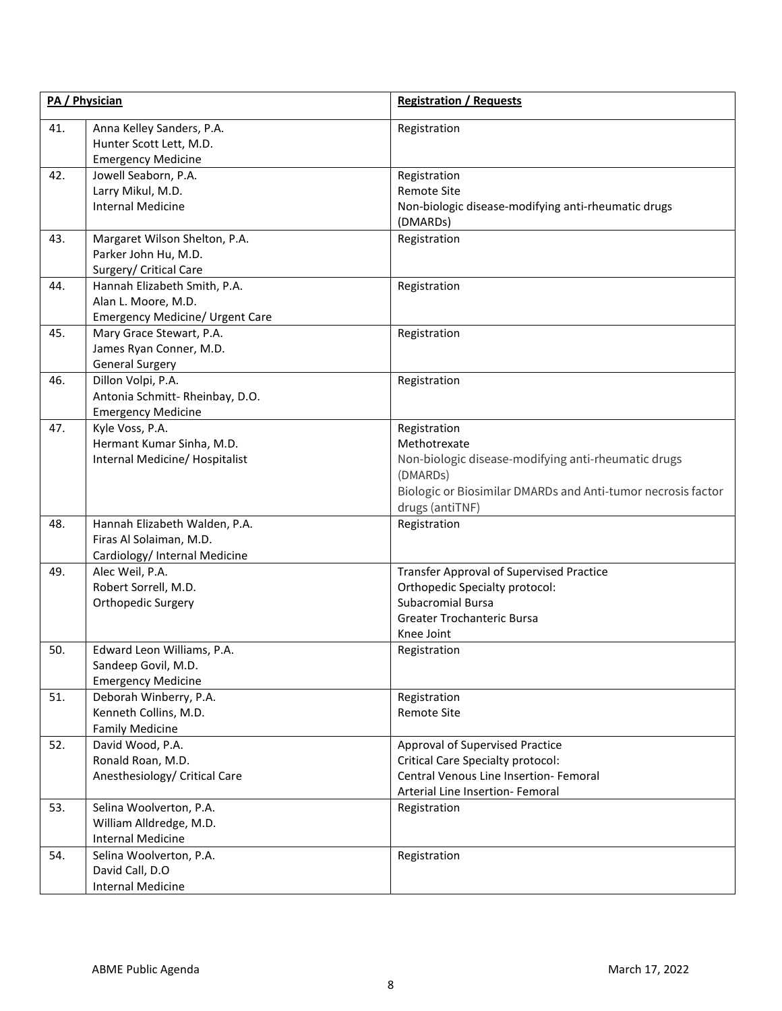|     | PA / Physician                                                                            | <b>Registration / Requests</b>                                                                                                                                                     |
|-----|-------------------------------------------------------------------------------------------|------------------------------------------------------------------------------------------------------------------------------------------------------------------------------------|
| 41. | Anna Kelley Sanders, P.A.<br>Hunter Scott Lett, M.D.<br><b>Emergency Medicine</b>         | Registration                                                                                                                                                                       |
| 42. | Jowell Seaborn, P.A.<br>Larry Mikul, M.D.<br><b>Internal Medicine</b>                     | Registration<br><b>Remote Site</b><br>Non-biologic disease-modifying anti-rheumatic drugs<br>(DMARDs)                                                                              |
| 43. | Margaret Wilson Shelton, P.A.<br>Parker John Hu, M.D.<br>Surgery/ Critical Care           | Registration                                                                                                                                                                       |
| 44. | Hannah Elizabeth Smith, P.A.<br>Alan L. Moore, M.D.<br>Emergency Medicine/ Urgent Care    | Registration                                                                                                                                                                       |
| 45. | Mary Grace Stewart, P.A.<br>James Ryan Conner, M.D.<br><b>General Surgery</b>             | Registration                                                                                                                                                                       |
| 46. | Dillon Volpi, P.A.<br>Antonia Schmitt-Rheinbay, D.O.<br><b>Emergency Medicine</b>         | Registration                                                                                                                                                                       |
| 47. | Kyle Voss, P.A.<br>Hermant Kumar Sinha, M.D.<br>Internal Medicine/ Hospitalist            | Registration<br>Methotrexate<br>Non-biologic disease-modifying anti-rheumatic drugs<br>(DMARDs)<br>Biologic or Biosimilar DMARDs and Anti-tumor necrosis factor<br>drugs (antiTNF) |
| 48. | Hannah Elizabeth Walden, P.A.<br>Firas Al Solaiman, M.D.<br>Cardiology/ Internal Medicine | Registration                                                                                                                                                                       |
| 49. | Alec Weil, P.A.<br>Robert Sorrell, M.D.<br>Orthopedic Surgery                             | <b>Transfer Approval of Supervised Practice</b><br>Orthopedic Specialty protocol:<br><b>Subacromial Bursa</b><br>Greater Trochanteric Bursa<br>Knee Joint                          |
| 50. | Edward Leon Williams, P.A.<br>Sandeep Govil, M.D.<br><b>Emergency Medicine</b>            | Registration                                                                                                                                                                       |
| 51. | Deborah Winberry, P.A.<br>Kenneth Collins, M.D.<br><b>Family Medicine</b>                 | Registration<br><b>Remote Site</b>                                                                                                                                                 |
| 52. | David Wood, P.A.<br>Ronald Roan, M.D.<br>Anesthesiology/ Critical Care                    | Approval of Supervised Practice<br><b>Critical Care Specialty protocol:</b><br>Central Venous Line Insertion- Femoral<br>Arterial Line Insertion- Femoral                          |
| 53. | Selina Woolverton, P.A.<br>William Alldredge, M.D.<br><b>Internal Medicine</b>            | Registration                                                                                                                                                                       |
| 54. | Selina Woolverton, P.A.<br>David Call, D.O<br><b>Internal Medicine</b>                    | Registration                                                                                                                                                                       |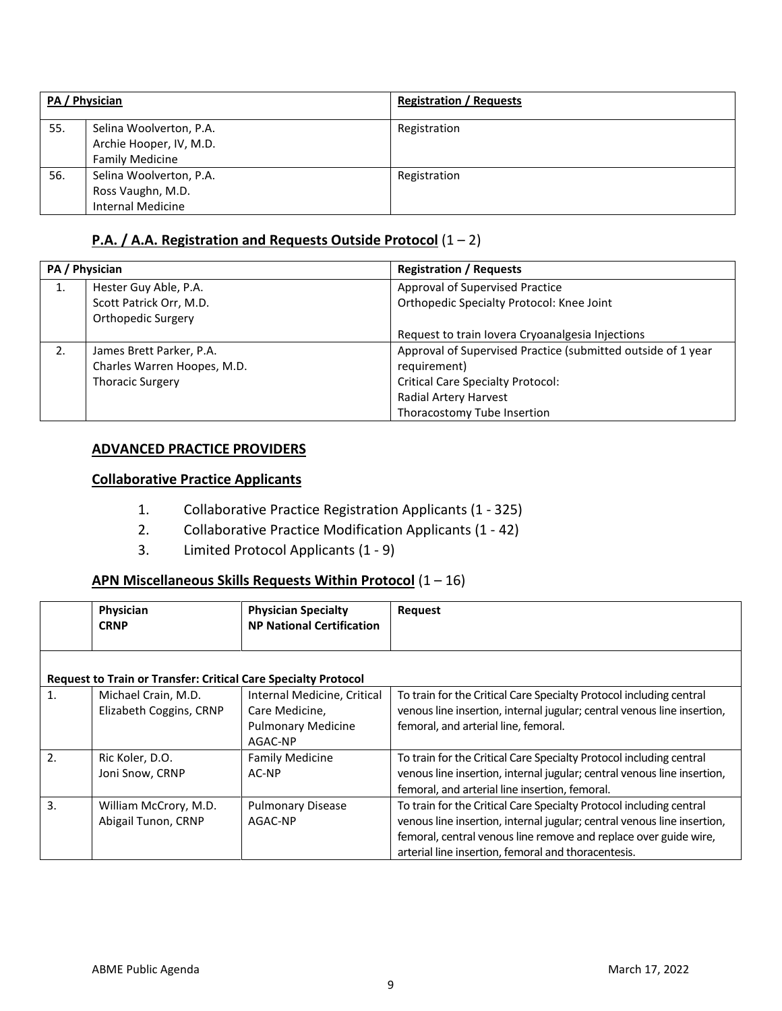|     | PA / Physician                                                               | <b>Registration / Requests</b> |
|-----|------------------------------------------------------------------------------|--------------------------------|
| 55. | Selina Woolverton, P.A.<br>Archie Hooper, IV, M.D.<br><b>Family Medicine</b> | Registration                   |
| 56. | Selina Woolverton, P.A.<br>Ross Vaughn, M.D.<br><b>Internal Medicine</b>     | Registration                   |

## **P.A. / A.A. Registration and Requests Outside Protocol** (1 – 2)

| PA / Physician |                             | <b>Registration / Requests</b>                               |
|----------------|-----------------------------|--------------------------------------------------------------|
| 1.             | Hester Guy Able, P.A.       | Approval of Supervised Practice                              |
|                | Scott Patrick Orr, M.D.     | Orthopedic Specialty Protocol: Knee Joint                    |
|                | Orthopedic Surgery          |                                                              |
|                |                             | Request to train lovera Cryoanalgesia Injections             |
| 2.             | James Brett Parker, P.A.    | Approval of Supervised Practice (submitted outside of 1 year |
|                | Charles Warren Hoopes, M.D. | requirement)                                                 |
|                | <b>Thoracic Surgery</b>     | <b>Critical Care Specialty Protocol:</b>                     |
|                |                             | Radial Artery Harvest                                        |
|                |                             | Thoracostomy Tube Insertion                                  |

## **ADVANCED PRACTICE PROVIDERS**

## **Collaborative Practice Applicants**

- 1. Collaborative Practice Registration Applicants (1 325)
- 2. Collaborative Practice Modification Applicants (1 42)
- 3. Limited Protocol Applicants (1 9)

## **APN Miscellaneous Skills Requests Within Protocol** (1 – 16)

|    | Physician<br><b>CRNP</b>                                              | <b>Physician Specialty</b><br><b>NP National Certification</b>                        | <b>Request</b>                                                                                                                                                                                                                                                            |
|----|-----------------------------------------------------------------------|---------------------------------------------------------------------------------------|---------------------------------------------------------------------------------------------------------------------------------------------------------------------------------------------------------------------------------------------------------------------------|
|    | <b>Request to Train or Transfer: Critical Care Specialty Protocol</b> |                                                                                       |                                                                                                                                                                                                                                                                           |
| 1. | Michael Crain, M.D.<br>Elizabeth Coggins, CRNP                        | Internal Medicine, Critical<br>Care Medicine,<br><b>Pulmonary Medicine</b><br>AGAC-NP | To train for the Critical Care Specialty Protocol including central<br>venous line insertion, internal jugular; central venous line insertion,<br>femoral, and arterial line, femoral.                                                                                    |
| 2. | Ric Koler, D.O.<br>Joni Snow, CRNP                                    | <b>Family Medicine</b><br>AC-NP                                                       | To train for the Critical Care Specialty Protocol including central<br>venous line insertion, internal jugular; central venous line insertion,<br>femoral, and arterial line insertion, femoral.                                                                          |
| 3. | William McCrory, M.D.<br>Abigail Tunon, CRNP                          | <b>Pulmonary Disease</b><br>AGAC-NP                                                   | To train for the Critical Care Specialty Protocol including central<br>venous line insertion, internal jugular; central venous line insertion,<br>femoral, central venous line remove and replace over guide wire,<br>arterial line insertion, femoral and thoracentesis. |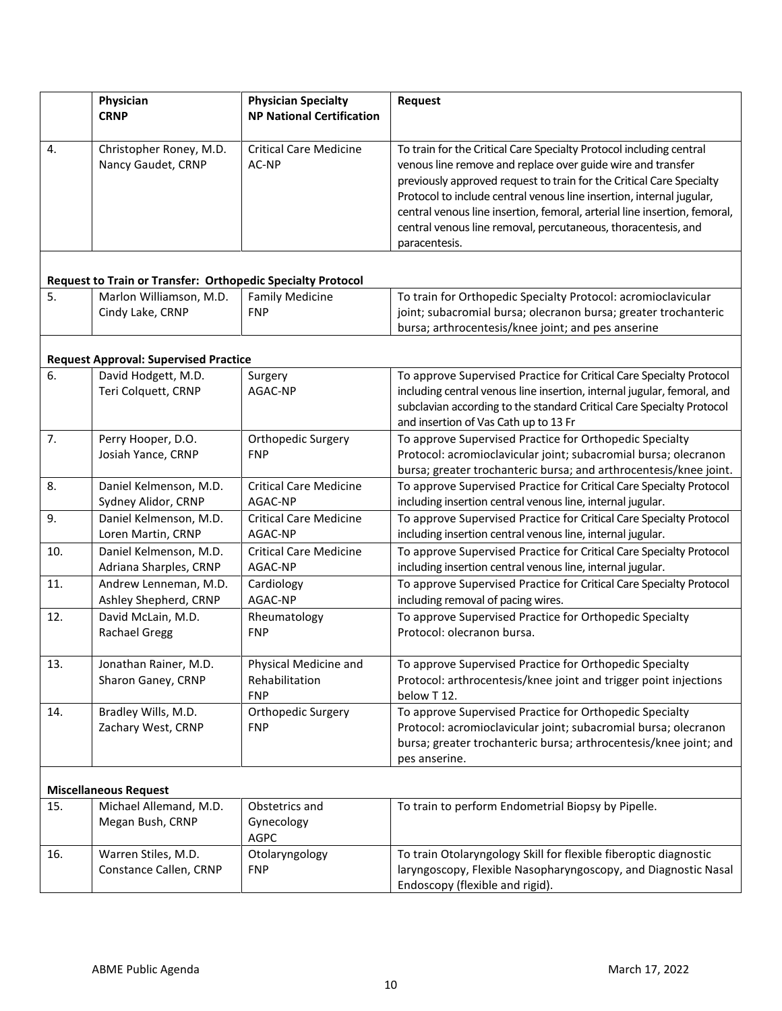|     | Physician<br><b>CRNP</b>                                           | <b>Physician Specialty</b><br><b>NP National Certification</b> | Request                                                                                                                                                                                                                                                                                                                                                                                                                                           |
|-----|--------------------------------------------------------------------|----------------------------------------------------------------|---------------------------------------------------------------------------------------------------------------------------------------------------------------------------------------------------------------------------------------------------------------------------------------------------------------------------------------------------------------------------------------------------------------------------------------------------|
| 4.  | Christopher Roney, M.D.<br>Nancy Gaudet, CRNP                      | <b>Critical Care Medicine</b><br>AC-NP                         | To train for the Critical Care Specialty Protocol including central<br>venous line remove and replace over guide wire and transfer<br>previously approved request to train for the Critical Care Specialty<br>Protocol to include central venous line insertion, internal jugular,<br>central venous line insertion, femoral, arterial line insertion, femoral,<br>central venous line removal, percutaneous, thoracentesis, and<br>paracentesis. |
|     | <b>Request to Train or Transfer: Orthopedic Specialty Protocol</b> |                                                                |                                                                                                                                                                                                                                                                                                                                                                                                                                                   |
| 5.  | Marlon Williamson, M.D.<br>Cindy Lake, CRNP                        | <b>Family Medicine</b><br><b>FNP</b>                           | To train for Orthopedic Specialty Protocol: acromioclavicular<br>joint; subacromial bursa; olecranon bursa; greater trochanteric<br>bursa; arthrocentesis/knee joint; and pes anserine                                                                                                                                                                                                                                                            |
|     | <b>Request Approval: Supervised Practice</b>                       |                                                                |                                                                                                                                                                                                                                                                                                                                                                                                                                                   |
| 6.  | David Hodgett, M.D.<br>Teri Colquett, CRNP                         | Surgery<br>AGAC-NP                                             | To approve Supervised Practice for Critical Care Specialty Protocol<br>including central venous line insertion, internal jugular, femoral, and<br>subclavian according to the standard Critical Care Specialty Protocol<br>and insertion of Vas Cath up to 13 Fr                                                                                                                                                                                  |
| 7.  | Perry Hooper, D.O.<br>Josiah Yance, CRNP                           | Orthopedic Surgery<br><b>FNP</b>                               | To approve Supervised Practice for Orthopedic Specialty<br>Protocol: acromioclavicular joint; subacromial bursa; olecranon<br>bursa; greater trochanteric bursa; and arthrocentesis/knee joint.                                                                                                                                                                                                                                                   |
| 8.  | Daniel Kelmenson, M.D.<br>Sydney Alidor, CRNP                      | <b>Critical Care Medicine</b><br>AGAC-NP                       | To approve Supervised Practice for Critical Care Specialty Protocol<br>including insertion central venous line, internal jugular.                                                                                                                                                                                                                                                                                                                 |
| 9.  | Daniel Kelmenson, M.D.<br>Loren Martin, CRNP                       | <b>Critical Care Medicine</b><br>AGAC-NP                       | To approve Supervised Practice for Critical Care Specialty Protocol<br>including insertion central venous line, internal jugular.                                                                                                                                                                                                                                                                                                                 |
| 10. | Daniel Kelmenson, M.D.<br>Adriana Sharples, CRNP                   | <b>Critical Care Medicine</b><br>AGAC-NP                       | To approve Supervised Practice for Critical Care Specialty Protocol<br>including insertion central venous line, internal jugular.                                                                                                                                                                                                                                                                                                                 |
| 11. | Andrew Lenneman, M.D.<br>Ashley Shepherd, CRNP                     | Cardiology<br>AGAC-NP                                          | To approve Supervised Practice for Critical Care Specialty Protocol<br>including removal of pacing wires.                                                                                                                                                                                                                                                                                                                                         |
| 12. | David McLain, M.D.<br><b>Rachael Gregg</b>                         | Rheumatology<br><b>FNP</b>                                     | To approve Supervised Practice for Orthopedic Specialty<br>Protocol: olecranon bursa.                                                                                                                                                                                                                                                                                                                                                             |
| 13. | Jonathan Rainer, M.D.<br>Sharon Ganey, CRNP                        | Physical Medicine and<br>Rehabilitation<br><b>FNP</b>          | To approve Supervised Practice for Orthopedic Specialty<br>Protocol: arthrocentesis/knee joint and trigger point injections<br>below T12.                                                                                                                                                                                                                                                                                                         |
| 14. | Bradley Wills, M.D.<br>Zachary West, CRNP                          | Orthopedic Surgery<br><b>FNP</b>                               | To approve Supervised Practice for Orthopedic Specialty<br>Protocol: acromioclavicular joint; subacromial bursa; olecranon<br>bursa; greater trochanteric bursa; arthrocentesis/knee joint; and<br>pes anserine.                                                                                                                                                                                                                                  |
|     | <b>Miscellaneous Request</b>                                       |                                                                |                                                                                                                                                                                                                                                                                                                                                                                                                                                   |
| 15. | Michael Allemand, M.D.<br>Megan Bush, CRNP                         | Obstetrics and<br>Gynecology<br><b>AGPC</b>                    | To train to perform Endometrial Biopsy by Pipelle.                                                                                                                                                                                                                                                                                                                                                                                                |
| 16. | Warren Stiles, M.D.<br>Constance Callen, CRNP                      | Otolaryngology<br><b>FNP</b>                                   | To train Otolaryngology Skill for flexible fiberoptic diagnostic<br>laryngoscopy, Flexible Nasopharyngoscopy, and Diagnostic Nasal<br>Endoscopy (flexible and rigid).                                                                                                                                                                                                                                                                             |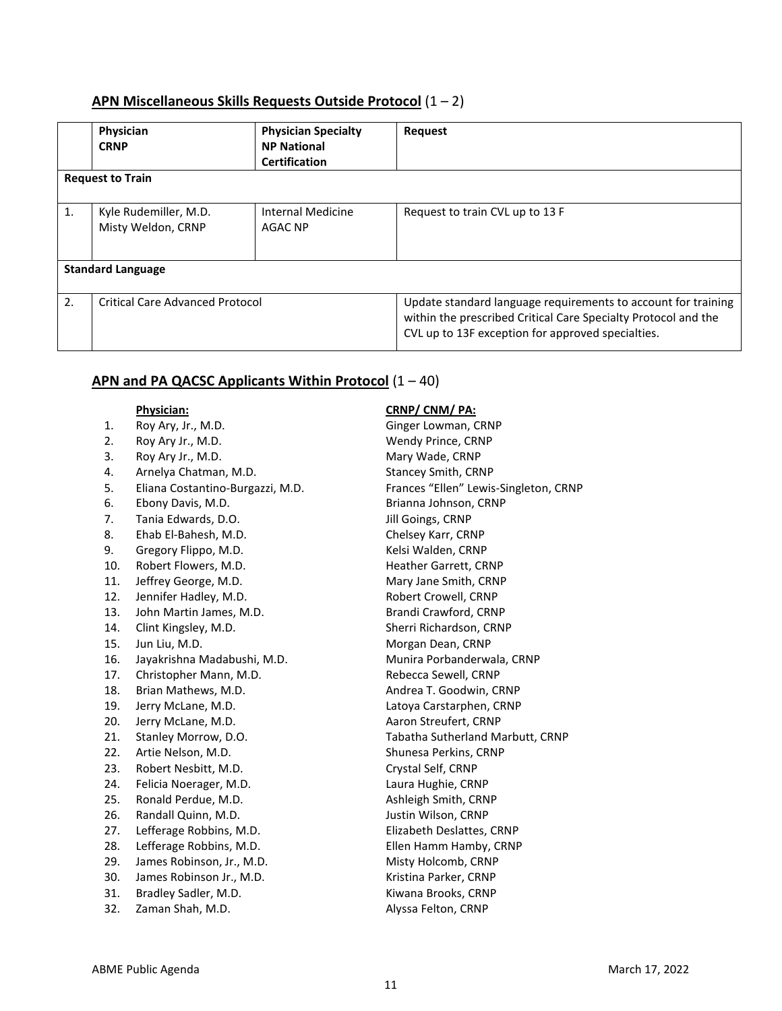## **APN Miscellaneous Skills Requests Outside Protocol** (1 – 2)

|    | Physician<br><b>CRNP</b>                    | <b>Physician Specialty</b><br><b>NP National</b><br><b>Certification</b> | <b>Request</b>                                                                                                                                                                       |  |
|----|---------------------------------------------|--------------------------------------------------------------------------|--------------------------------------------------------------------------------------------------------------------------------------------------------------------------------------|--|
|    | <b>Request to Train</b>                     |                                                                          |                                                                                                                                                                                      |  |
| 1. | Kyle Rudemiller, M.D.<br>Misty Weldon, CRNP | Internal Medicine<br>AGAC NP                                             | Request to train CVL up to 13 F                                                                                                                                                      |  |
|    | <b>Standard Language</b>                    |                                                                          |                                                                                                                                                                                      |  |
| 2. | <b>Critical Care Advanced Protocol</b>      |                                                                          | Update standard language requirements to account for training<br>within the prescribed Critical Care Specialty Protocol and the<br>CVL up to 13F exception for approved specialties. |  |

## **APN and PA QACSC Applicants Within Protocol** (1 – 40)

- 
- 2. Roy Ary Jr., M.D. Wendy Prince, CRNP
- 3. Roy Ary Jr., M.D. **Mary Wade, CRNP**
- 4. Arnelya Chatman, M.D. Stancey Smith, CRNP
- 5. Eliana Costantino-Burgazzi, M.D. Frances "Ellen" Lewis-Singleton, CRNP
- 6. Ebony Davis, M.D. **Brianna Johnson**, CRNP
- 7. Tania Edwards, D.O. **In the Community Community** Scribe Jill Goings, CRNP
- 8. Ehab El-Bahesh, M.D. Chelsey Karr, CRNP
- 9. Gregory Flippo, M.D. Sand Controller CRNP Kelsi Walden, CRNP
- 10. Robert Flowers, M.D. Same Communication Heather Garrett, CRNP
- 11. Jeffrey George, M.D. Mary Jane Smith, CRNP
- 12. Jennifer Hadley, M.D. Same Changes and Robert Crowell, CRNP
- 13. John Martin James, M.D. Brandi Crawford, CRNP
- 14. Clint Kingsley, M.D. Sherri Richardson, CRNP
- 
- 16. Jayakrishna Madabushi, M.D. Munira Porbanderwala, CRNP
- 17. Christopher Mann, M.D. Rebecca Sewell, CRNP
- 18. Brian Mathews, M.D. **Andrea T. Goodwin, CRNP**
- 
- 20. Jerry McLane, M.D. **Aaron Streufert, CRNP**
- 
- 22. Artie Nelson, M.D. Shunesa Perkins, CRNP
- 23. Robert Nesbitt, M.D. Crystal Self, CRNP
- 24. Felicia Noerager, M.D. Laura Hughie, CRNP
- 
- 26. Randall Quinn, M.D. Sandall Cuinn, M.D. Sandall Cuinn, M.D. Sandall Cuinness, CRNP
- 
- 28. Lefferage Robbins, M.D. Ellen Hamm Hamby, CRNP
- 29. James Robinson, Jr., M.D. Misty Holcomb, CRNP
- 30. James Robinson Jr., M.D. Kristina Parker, CRNP
- 
- 32. Zaman Shah, M.D. **Alyssa Felton, CRNP**

#### **Physician: CRNP/ CNM/ PA:**

1. Roy Ary, Jr., M.D. Ginger Lowman, CRNP 15. Jun Liu, M.D. **Morgan Dean, CRNP** 19. Jerry McLane, M.D. Latoya Carstarphen, CRNP 21. Stanley Morrow, D.O. Tabatha Sutherland Marbutt, CRNP 25. Ronald Perdue, M.D. Ashleigh Smith, CRNP 27. Lefferage Robbins, M.D. Elizabeth Deslattes, CRNP 31. Bradley Sadler, M.D. Kiwana Brooks, CRNP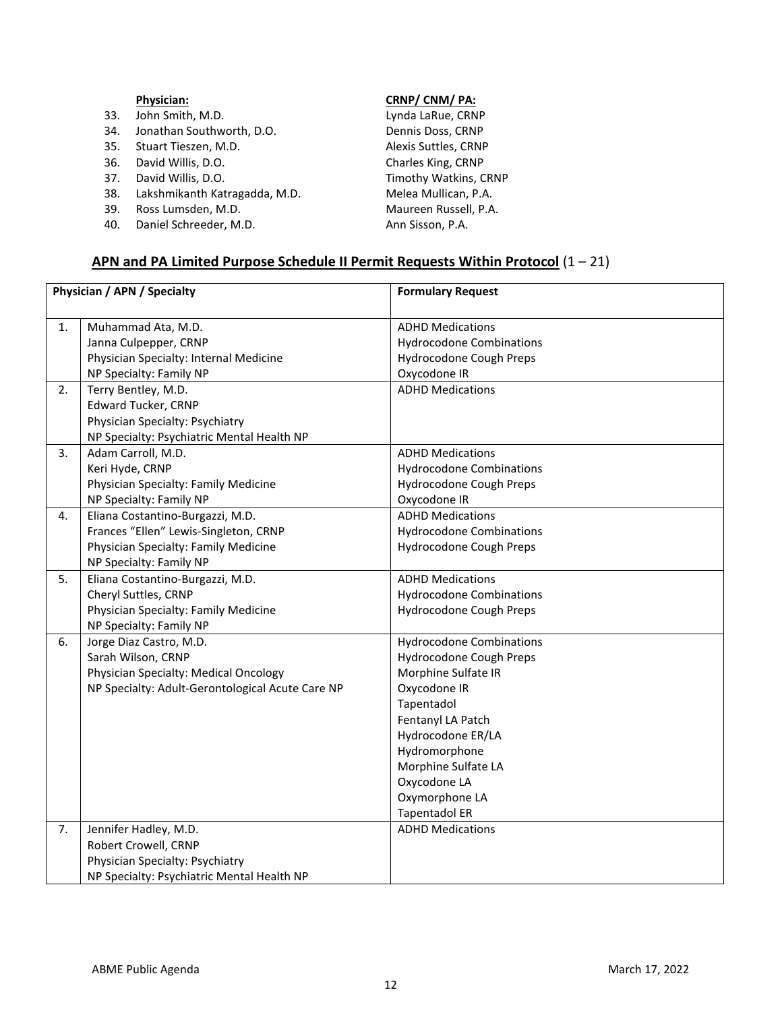|     | <b>Physician:</b>             | CRNP/CNM/PA:          |
|-----|-------------------------------|-----------------------|
| 33. | John Smith, M.D.              | Lynda LaRue, CRNP     |
| 34. | Jonathan Southworth, D.O.     | Dennis Doss, CRNP     |
| 35. | Stuart Tieszen, M.D.          | Alexis Suttles, CRNP  |
| 36. | David Willis, D.O.            | Charles King, CRNP    |
| 37. | David Willis, D.O.            | Timothy Watkins, CRNP |
| 38. | Lakshmikanth Katragadda, M.D. | Melea Mullican, P.A.  |
| 39. | Ross Lumsden, M.D.            | Maureen Russell, P.A. |
| 40. | Daniel Schreeder, M.D.        | Ann Sisson, P.A.      |

## **APN and PA Limited Purpose Schedule II Permit Requests Within Protocol** (1 – 21)

| Physician / APN / Specialty |                                                  | <b>Formulary Request</b>        |
|-----------------------------|--------------------------------------------------|---------------------------------|
|                             |                                                  |                                 |
| 1.                          | Muhammad Ata, M.D.                               | <b>ADHD Medications</b>         |
|                             | Janna Culpepper, CRNP                            | <b>Hydrocodone Combinations</b> |
|                             | Physician Specialty: Internal Medicine           | Hydrocodone Cough Preps         |
|                             | NP Specialty: Family NP                          | Oxycodone IR                    |
| 2.                          | Terry Bentley, M.D.                              | <b>ADHD Medications</b>         |
|                             | <b>Edward Tucker, CRNP</b>                       |                                 |
|                             | Physician Specialty: Psychiatry                  |                                 |
|                             | NP Specialty: Psychiatric Mental Health NP       |                                 |
| 3.                          | Adam Carroll, M.D.                               | <b>ADHD Medications</b>         |
|                             | Keri Hyde, CRNP                                  | <b>Hydrocodone Combinations</b> |
|                             | Physician Specialty: Family Medicine             | Hydrocodone Cough Preps         |
|                             | NP Specialty: Family NP                          | Oxycodone IR                    |
| 4.                          | Eliana Costantino-Burgazzi, M.D.                 | <b>ADHD Medications</b>         |
|                             | Frances "Ellen" Lewis-Singleton, CRNP            | <b>Hydrocodone Combinations</b> |
|                             | Physician Specialty: Family Medicine             | Hydrocodone Cough Preps         |
|                             | NP Specialty: Family NP                          |                                 |
| 5.                          | Eliana Costantino-Burgazzi, M.D.                 | <b>ADHD Medications</b>         |
|                             | Cheryl Suttles, CRNP                             | <b>Hydrocodone Combinations</b> |
|                             | Physician Specialty: Family Medicine             | Hydrocodone Cough Preps         |
|                             | NP Specialty: Family NP                          |                                 |
| 6.                          | Jorge Diaz Castro, M.D.                          | <b>Hydrocodone Combinations</b> |
|                             | Sarah Wilson, CRNP                               | Hydrocodone Cough Preps         |
|                             | Physician Specialty: Medical Oncology            | Morphine Sulfate IR             |
|                             | NP Specialty: Adult-Gerontological Acute Care NP | Oxycodone IR                    |
|                             |                                                  | Tapentadol                      |
|                             |                                                  | Fentanyl LA Patch               |
|                             |                                                  | Hydrocodone ER/LA               |
|                             |                                                  | Hydromorphone                   |
|                             |                                                  | Morphine Sulfate LA             |
|                             |                                                  | Oxycodone LA                    |
|                             |                                                  | Oxymorphone LA                  |
|                             |                                                  | <b>Tapentadol ER</b>            |
| 7.                          | Jennifer Hadley, M.D.                            | <b>ADHD Medications</b>         |
|                             | Robert Crowell, CRNP                             |                                 |
|                             | Physician Specialty: Psychiatry                  |                                 |
|                             | NP Specialty: Psychiatric Mental Health NP       |                                 |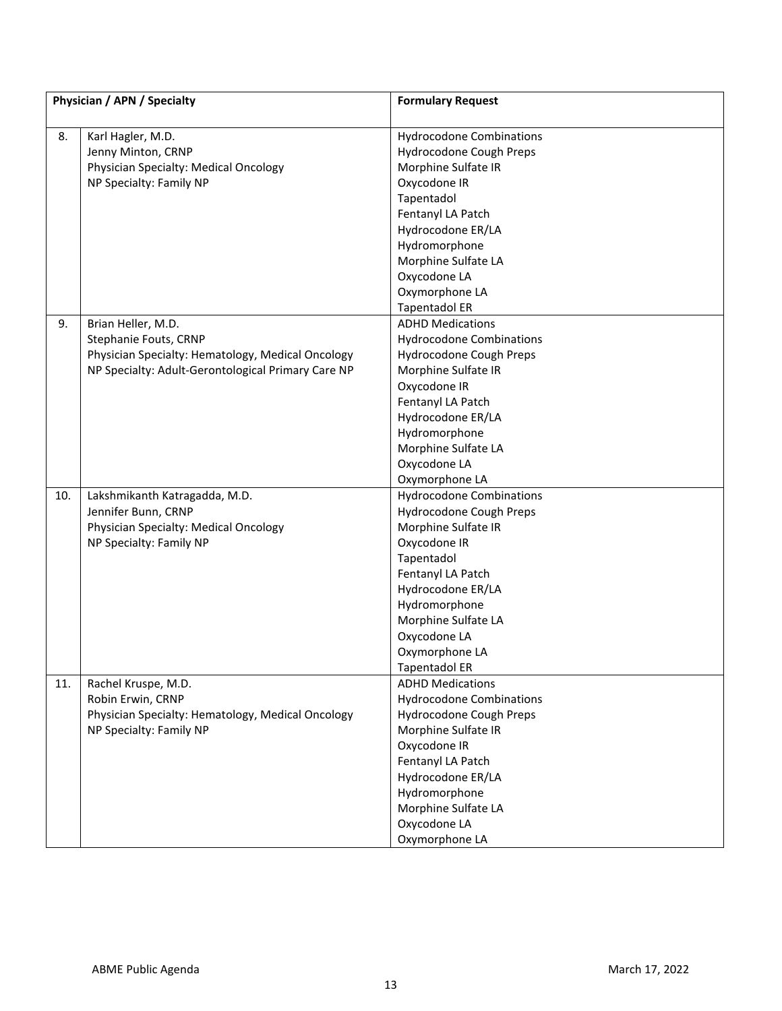| Physician / APN / Specialty |                                                    | <b>Formulary Request</b>           |
|-----------------------------|----------------------------------------------------|------------------------------------|
| 8.                          | Karl Hagler, M.D.                                  | <b>Hydrocodone Combinations</b>    |
|                             | Jenny Minton, CRNP                                 | Hydrocodone Cough Preps            |
|                             | Physician Specialty: Medical Oncology              | Morphine Sulfate IR                |
|                             | NP Specialty: Family NP                            | Oxycodone IR                       |
|                             |                                                    | Tapentadol                         |
|                             |                                                    | Fentanyl LA Patch                  |
|                             |                                                    | Hydrocodone ER/LA                  |
|                             |                                                    | Hydromorphone                      |
|                             |                                                    | Morphine Sulfate LA                |
|                             |                                                    | Oxycodone LA                       |
|                             |                                                    | Oxymorphone LA                     |
|                             |                                                    | <b>Tapentadol ER</b>               |
| 9.                          | Brian Heller, M.D.                                 | <b>ADHD Medications</b>            |
|                             | Stephanie Fouts, CRNP                              | <b>Hydrocodone Combinations</b>    |
|                             | Physician Specialty: Hematology, Medical Oncology  | Hydrocodone Cough Preps            |
|                             | NP Specialty: Adult-Gerontological Primary Care NP | Morphine Sulfate IR                |
|                             |                                                    | Oxycodone IR                       |
|                             |                                                    | Fentanyl LA Patch                  |
|                             |                                                    | Hydrocodone ER/LA                  |
|                             |                                                    | Hydromorphone                      |
|                             |                                                    | Morphine Sulfate LA                |
|                             |                                                    | Oxycodone LA                       |
|                             |                                                    | Oxymorphone LA                     |
| 10.                         | Lakshmikanth Katragadda, M.D.                      | <b>Hydrocodone Combinations</b>    |
|                             | Jennifer Bunn, CRNP                                | Hydrocodone Cough Preps            |
|                             | Physician Specialty: Medical Oncology              | Morphine Sulfate IR                |
|                             | NP Specialty: Family NP                            | Oxycodone IR                       |
|                             |                                                    | Tapentadol                         |
|                             |                                                    | Fentanyl LA Patch                  |
|                             |                                                    | Hydrocodone ER/LA<br>Hydromorphone |
|                             |                                                    | Morphine Sulfate LA                |
|                             |                                                    | Oxycodone LA                       |
|                             |                                                    | Oxymorphone LA                     |
|                             |                                                    | <b>Tapentadol ER</b>               |
| 11.                         | Rachel Kruspe, M.D.                                | <b>ADHD Medications</b>            |
|                             | Robin Erwin, CRNP                                  | <b>Hydrocodone Combinations</b>    |
|                             | Physician Specialty: Hematology, Medical Oncology  | Hydrocodone Cough Preps            |
|                             | NP Specialty: Family NP                            | Morphine Sulfate IR                |
|                             |                                                    | Oxycodone IR                       |
|                             |                                                    | Fentanyl LA Patch                  |
|                             |                                                    | Hydrocodone ER/LA                  |
|                             |                                                    | Hydromorphone                      |
|                             |                                                    | Morphine Sulfate LA                |
|                             |                                                    | Oxycodone LA                       |
|                             |                                                    | Oxymorphone LA                     |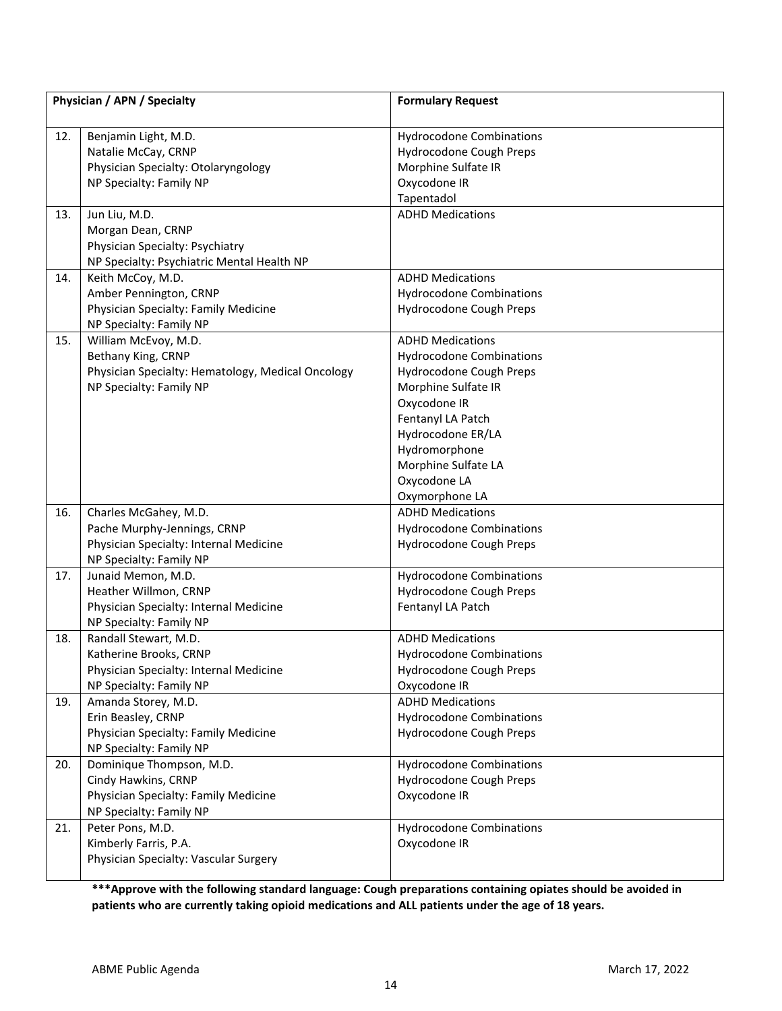|     | Physician / APN / Specialty                                       | <b>Formulary Request</b>        |
|-----|-------------------------------------------------------------------|---------------------------------|
| 12. | Benjamin Light, M.D.                                              | <b>Hydrocodone Combinations</b> |
|     | Natalie McCay, CRNP                                               | Hydrocodone Cough Preps         |
|     | Physician Specialty: Otolaryngology                               | Morphine Sulfate IR             |
|     | NP Specialty: Family NP                                           | Oxycodone IR                    |
|     |                                                                   | Tapentadol                      |
| 13. | Jun Liu, M.D.                                                     | <b>ADHD Medications</b>         |
|     | Morgan Dean, CRNP                                                 |                                 |
|     | Physician Specialty: Psychiatry                                   |                                 |
|     | NP Specialty: Psychiatric Mental Health NP                        |                                 |
| 14. | Keith McCoy, M.D.                                                 | <b>ADHD Medications</b>         |
|     | Amber Pennington, CRNP                                            | <b>Hydrocodone Combinations</b> |
|     | Physician Specialty: Family Medicine                              | Hydrocodone Cough Preps         |
|     | NP Specialty: Family NP                                           |                                 |
| 15. | William McEvoy, M.D.                                              | <b>ADHD Medications</b>         |
|     | Bethany King, CRNP                                                | <b>Hydrocodone Combinations</b> |
|     | Physician Specialty: Hematology, Medical Oncology                 | Hydrocodone Cough Preps         |
|     | NP Specialty: Family NP                                           | Morphine Sulfate IR             |
|     |                                                                   | Oxycodone IR                    |
|     |                                                                   | Fentanyl LA Patch               |
|     |                                                                   | Hydrocodone ER/LA               |
|     |                                                                   | Hydromorphone                   |
|     |                                                                   | Morphine Sulfate LA             |
|     |                                                                   | Oxycodone LA                    |
|     |                                                                   | Oxymorphone LA                  |
| 16. | Charles McGahey, M.D.                                             | <b>ADHD Medications</b>         |
|     | Pache Murphy-Jennings, CRNP                                       | <b>Hydrocodone Combinations</b> |
|     | Physician Specialty: Internal Medicine                            | Hydrocodone Cough Preps         |
|     | NP Specialty: Family NP                                           |                                 |
| 17. | Junaid Memon, M.D.                                                | <b>Hydrocodone Combinations</b> |
|     | Heather Willmon, CRNP                                             | Hydrocodone Cough Preps         |
|     | Physician Specialty: Internal Medicine<br>NP Specialty: Family NP | Fentanyl LA Patch               |
| 18. | Randall Stewart, M.D.                                             | <b>ADHD Medications</b>         |
|     | Katherine Brooks, CRNP                                            | <b>Hydrocodone Combinations</b> |
|     | Physician Specialty: Internal Medicine                            | Hydrocodone Cough Preps         |
|     | NP Specialty: Family NP                                           | Oxycodone IR                    |
| 19. | Amanda Storey, M.D.                                               | <b>ADHD Medications</b>         |
|     | Erin Beasley, CRNP                                                | <b>Hydrocodone Combinations</b> |
|     | Physician Specialty: Family Medicine                              | Hydrocodone Cough Preps         |
|     | NP Specialty: Family NP                                           |                                 |
| 20. | Dominique Thompson, M.D.                                          | <b>Hydrocodone Combinations</b> |
|     | Cindy Hawkins, CRNP                                               | Hydrocodone Cough Preps         |
|     | Physician Specialty: Family Medicine                              | Oxycodone IR                    |
|     | NP Specialty: Family NP                                           |                                 |
| 21. | Peter Pons, M.D.                                                  | <b>Hydrocodone Combinations</b> |
|     | Kimberly Farris, P.A.                                             | Oxycodone IR                    |
|     | Physician Specialty: Vascular Surgery                             |                                 |
|     |                                                                   |                                 |

**\*\*\*Approve with the following standard language: Cough preparations containing opiates should be avoided in patients who are currently taking opioid medications and ALL patients under the age of 18 years.**